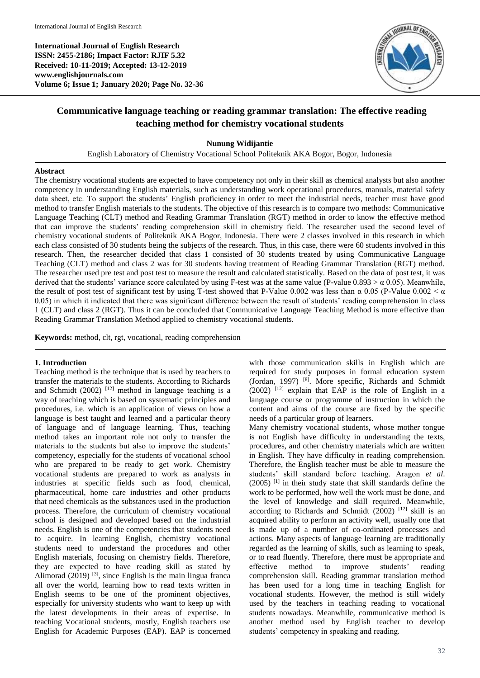**International Journal of English Research ISSN: 2455-2186; Impact Factor: RJIF 5.32 Received: 10-11-2019; Accepted: 13-12-2019 www.englishjournals.com Volume 6; Issue 1; January 2020; Page No. 32-36**



# **Communicative language teaching or reading grammar translation: The effective reading teaching method for chemistry vocational students**

**Nunung Widijantie**

English Laboratory of Chemistry Vocational School Politeknik AKA Bogor, Bogor, Indonesia

#### **Abstract**

The chemistry vocational students are expected to have competency not only in their skill as chemical analysts but also another competency in understanding English materials, such as understanding work operational procedures, manuals, material safety data sheet, etc. To support the students' English proficiency in order to meet the industrial needs, teacher must have good method to transfer English materials to the students. The objective of this research is to compare two methods: Communicative Language Teaching (CLT) method and Reading Grammar Translation (RGT) method in order to know the effective method that can improve the students' reading comprehension skill in chemistry field. The researcher used the second level of chemistry vocational students of Politeknik AKA Bogor, Indonesia. There were 2 classes involved in this research in which each class consisted of 30 students being the subjects of the research. Thus, in this case, there were 60 students involved in this research. Then, the researcher decided that class 1 consisted of 30 students treated by using Communicative Language Teaching (CLT) method and class 2 was for 30 students having treatment of Reading Grammar Translation (RGT) method. The researcher used pre test and post test to measure the result and calculated statistically. Based on the data of post test, it was derived that the students' variance score calculated by using F-test was at the same value (P-value 0.893  $> \alpha$  0.05). Meanwhile, the result of post test of significant test by using T-test showed that P-Value 0.002 was less than  $\alpha$  0.05 (P-Value 0.002 <  $\alpha$ 0.05) in which it indicated that there was significant difference between the result of students' reading comprehension in class 1 (CLT) and class 2 (RGT). Thus it can be concluded that Communicative Language Teaching Method is more effective than Reading Grammar Translation Method applied to chemistry vocational students.

**Keywords:** method, clt, rgt, vocational, reading comprehension

### **1. Introduction**

Teaching method is the technique that is used by teachers to transfer the materials to the students. According to Richards and Schmidt  $(2002)$ <sup>[12]</sup> method in language teaching is a way of teaching which is based on systematic principles and procedures, i.e. which is an application of views on how a language is best taught and learned and a particular theory of language and of language learning. Thus, teaching method takes an important role not only to transfer the materials to the students but also to improve the students' competency, especially for the students of vocational school who are prepared to be ready to get work. Chemistry vocational students are prepared to work as analysts in industries at specific fields such as food, chemical, pharmaceutical, home care industries and other products that need chemicals as the substances used in the production process. Therefore, the curriculum of chemistry vocational school is designed and developed based on the industrial needs. English is one of the competencies that students need to acquire. In learning English, chemistry vocational students need to understand the procedures and other English materials, focusing on chemistry fields. Therefore, they are expected to have reading skill as stated by Alimorad  $(2019)$ <sup>[3]</sup>, since English is the main lingua franca all over the world, learning how to read texts written in English seems to be one of the prominent objectives, especially for university students who want to keep up with the latest developments in their areas of expertise. In teaching Vocational students, mostly, English teachers use English for Academic Purposes (EAP). EAP is concerned

with those communication skills in English which are required for study purposes in formal education system (Jordan, 1997) [8]. More specific, Richards and Schmidt  $(2002)$ <sup>[12]</sup> explain that EAP is the role of English in a language course or programme of instruction in which the content and aims of the course are fixed by the specific needs of a particular group of learners.

Many chemistry vocational students, whose mother tongue is not English have difficulty in understanding the texts, procedures, and other chemistry materials which are written in English. They have difficulty in reading comprehension. Therefore, the English teacher must be able to measure the students' skill standard before teaching. Aragon *et al*. (2005) [1] in their study state that skill standards define the work to be performed, how well the work must be done, and the level of knowledge and skill required. Meanwhile, according to Richards and Schmidt (2002)  $[12]$  skill is an acquired ability to perform an activity well, usually one that is made up of a number of co-ordinated processes and actions. Many aspects of language learning are traditionally regarded as the learning of skills, such as learning to speak, or to read fluently. Therefore, there must be appropriate and effective method to improve students' reading comprehension skill. Reading grammar translation method has been used for a long time in teaching English for vocational students. However, the method is still widely used by the teachers in teaching reading to vocational students nowadays. Meanwhile, communicative method is another method used by English teacher to develop students' competency in speaking and reading.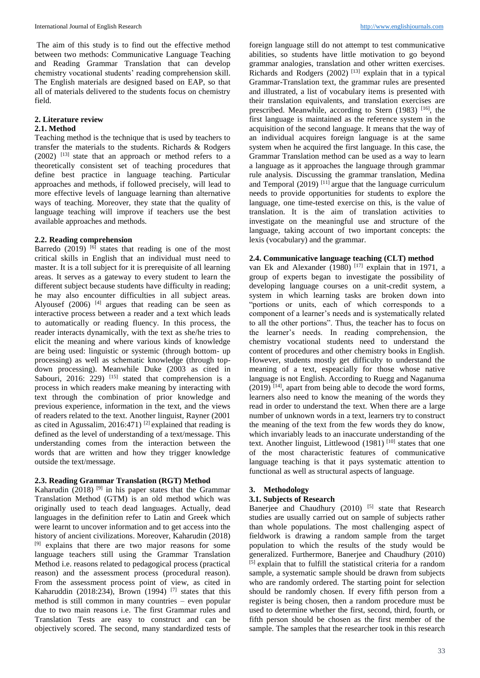The aim of this study is to find out the effective method between two methods: Communicative Language Teaching and Reading Grammar Translation that can develop chemistry vocational students' reading comprehension skill. The English materials are designed based on EAP, so that all of materials delivered to the students focus on chemistry field.

# **2. Literature review**

# **2.1. Method**

Teaching method is the technique that is used by teachers to transfer the materials to the students. Richards & Rodgers  $(2002)$  <sup>[13]</sup> state that an approach or method refers to a theoretically consistent set of teaching procedures that define best practice in language teaching. Particular approaches and methods, if followed precisely, will lead to more effective levels of language learning than alternative ways of teaching. Moreover, they state that the quality of language teaching will improve if teachers use the best available approaches and methods.

#### **2.2. Reading comprehension**

Barredo  $(2019)$  [6] states that reading is one of the most critical skills in English that an individual must need to master. It is a toll subject for it is prerequisite of all learning areas. It serves as a gateway to every student to learn the different subject because students have difficulty in reading; he may also encounter difficulties in all subject areas. Alyousef  $(2006)$  <sup>[4]</sup> argues that reading can be seen as interactive process between a reader and a text which leads to automatically or reading fluency. In this process, the reader interacts dynamically, with the text as she/he tries to elicit the meaning and where various kinds of knowledge are being used: linguistic or systemic (through bottom- up processing) as well as schematic knowledge (through topdown processing). Meanwhile Duke (2003 as cited in Sabouri, 2016: 229)  $^{[15]}$  stated that comprehension is a process in which readers make meaning by interacting with text through the combination of prior knowledge and previous experience, information in the text, and the views of readers related to the text. Another linguist, Rayner (2001 as cited in Agussalim, 2016:471)<sup>[2]</sup> explained that reading is defined as the level of understanding of a text/message. This understanding comes from the interaction between the words that are written and how they trigger knowledge outside the text/message.

# **2.3. Reading Grammar Translation (RGT) Method**

Kaharudin (2018) <sup>[9]</sup> in his paper states that the Grammar Translation Method (GTM) is an old method which was originally used to teach dead languages. Actually, dead languages in the definition refer to Latin and Greek which were learnt to uncover information and to get access into the history of ancient civilizations. Moreover, Kaharudin (2018) [9] explains that there are two major reasons for some language teachers still using the Grammar Translation Method i.e. reasons related to pedagogical process (practical reason) and the assessment process (procedural reason). From the assessment process point of view, as cited in Kaharuddin (2018:234), Brown (1994) <sup>[7]</sup> states that this method is still common in many countries – even popular due to two main reasons i.e. The first Grammar rules and Translation Tests are easy to construct and can be objectively scored. The second, many standardized tests of

foreign language still do not attempt to test communicative abilities, so students have little motivation to go beyond grammar analogies, translation and other written exercises. Richards and Rodgers  $(2002)$ <sup>[13]</sup> explain that in a typical Grammar-Translation text, the grammar rules are presented and illustrated, a list of vocabulary items is presented with their translation equivalents, and translation exercises are prescribed. Meanwhile, according to Stern (1983) [16], the first language is maintained as the reference system in the acquisition of the second language. It means that the way of an individual acquires foreign language is at the same system when he acquired the first language. In this case, the Grammar Translation method can be used as a way to learn a language as it approaches the language through grammar rule analysis. Discussing the grammar translation, Medina and Temporal  $(2019)$ <sup>[11]</sup> argue that the language curriculum needs to provide opportunities for students to explore the language, one time-tested exercise on this, is the value of translation. It is the aim of translation activities to investigate on the meaningful use and structure of the language, taking account of two important concepts: the lexis (vocabulary) and the grammar.

# **2.4. Communicative language teaching (CLT) method**

van Ek and Alexander (1980)  $[17]$  explain that in 1971, a group of experts began to investigate the possibility of developing language courses on a unit-credit system, a system in which learning tasks are broken down into "portions or units, each of which corresponds to a component of a learner's needs and is systematically related to all the other portions". Thus, the teacher has to focus on the learner's needs. In reading comprehension, the chemistry vocational students need to understand the content of procedures and other chemistry books in English. However, students mostly get difficulty to understand the meaning of a text, espeacially for those whose native language is not English. According to Ruegg and Naganuma  $(2019)$ <sup>[14]</sup>, apart from being able to decode the word forms, learners also need to know the meaning of the words they read in order to understand the text. When there are a large number of unknown words in a text, learners try to construct the meaning of the text from the few words they do know, which invariably leads to an inaccurate understanding of the text. Another linguist, Littlewood (1981)<sup>[10]</sup> states that one of the most characteristic features of communicative language teaching is that it pays systematic attention to functional as well as structural aspects of language.

# **3. Methodology**

#### **3.1. Subjects of Research**

Banerjee and Chaudhury  $(2010)$  [5] state that Research studies are usually carried out on sample of subjects rather than whole populations. The most challenging aspect of fieldwork is drawing a random sample from the target population to which the results of the study would be generalized. Furthermore, Banerjee and Chaudhury (2010) [5] explain that to fulfill the statistical criteria for a random sample, a systematic sample should be drawn from subjects who are randomly ordered. The starting point for selection should be randomly chosen. If every fifth person from a register is being chosen, then a random procedure must be used to determine whether the first, second, third, fourth, or fifth person should be chosen as the first member of the sample. The samples that the researcher took in this research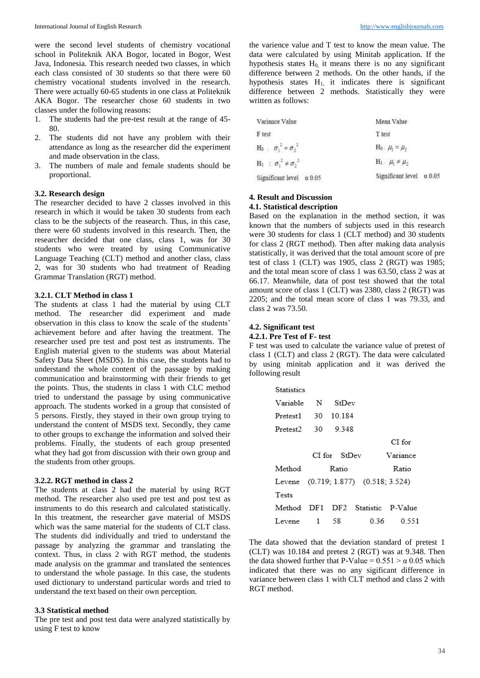were the second level students of chemistry vocational school in Politeknik AKA Bogor, located in Bogor, West Java, Indonesia. This research needed two classes, in which each class consisted of 30 students so that there were 60 chemistry vocational students involved in the research. There were actually 60-65 students in one class at Politeknik AKA Bogor. The researcher chose 60 students in two classes under the following reasons:

- 1. The students had the pre-test result at the range of 45- 80.
- 2. The students did not have any problem with their attendance as long as the researcher did the experiment and made observation in the class.
- 3. The numbers of male and female students should be proportional.

#### **3.2. Research design**

The researcher decided to have 2 classes involved in this research in which it would be taken 30 students from each class to be the subjects of the reasearch. Thus, in this case, there were 60 students involved in this research. Then, the researcher decided that one class, class 1, was for 30 students who were treated by using Communicative Language Teaching (CLT) method and another class, class 2, was for 30 students who had treatment of Reading Grammar Translation (RGT) method.

#### **3.2.1. CLT Method in class 1**

The students at class 1 had the material by using CLT method. The researcher did experiment and made observation in this class to know the scale of the students' achievement before and after having the treatment. The researcher used pre test and post test as instruments. The English material given to the students was about Material Safety Data Sheet (MSDS). In this case, the students had to understand the whole content of the passage by making communication and brainstorming with their friends to get the points. Thus, the students in class 1 with CLC method tried to understand the passage by using communicative approach. The students worked in a group that consisted of 5 persons. Firstly, they stayed in their own group trying to understand the content of MSDS text. Secondly, they came to other groups to exchange the information and solved their problems. Finally, the students of each group presented what they had got from discussion with their own group and the students from other groups.

#### **3.2.2. RGT method in class 2**

The students at class 2 had the material by using RGT method. The researcher also used pre test and post test as instruments to do this research and calculated statistically. In this treatment, the researcher gave material of MSDS which was the same material for the students of CLT class. The students did individually and tried to understand the passage by analyzing the grammar and translating the context. Thus, in class 2 with RGT method, the students made analysis on the grammar and translated the sentences to understand the whole passage. In this case, the students used dictionary to understand particular words and tried to understand the text based on their own perception.

#### **3.3 Statistical method**

The pre test and post test data were analyzed statistically by using F test to know

the varience value and T test to know the mean value. The data were calculated by using Minitab application. If the hypothesis states  $H_0$ , it means there is no any significant difference between 2 methods. On the other hands, if the hypothesis states  $H_1$ , it indicates there is significant difference between 2 methods. Statistically they were written as follows:

| Variance Value                    | Mean Value                 |  |  |
|-----------------------------------|----------------------------|--|--|
| F test                            | T test                     |  |  |
| $H_0$ : $\sigma_1^2 = \sigma_2^2$ | $H_0: \mu_1 = \mu_2$       |  |  |
| $H_1$ : $\sigma_1^2 * \sigma_2^2$ | $H_1$ : $\mu_1 \neq \mu_2$ |  |  |
| Significant level $\alpha$ 0.05   | Significant level a 0.05   |  |  |

#### **4. Result and Discussion 4.1. Statistical description**

Based on the explanation in the method section, it was known that the numbers of subjects used in this research were 30 students for class 1 (CLT method) and 30 students for class 2 (RGT method). Then after making data analysis statistically, it was derived that the total amount score of pre test of class 1 (CLT) was 1905, class 2 (RGT) was 1985; and the total mean score of class 1 was 63.50, class 2 was at 66.17. Meanwhile, data of post test showed that the total amount score of class 1 (CLT) was 2380, class 2 (RGT) was 2205; and the total mean score of class 1 was 79.33, and class 2 was 73.50.

# **4.2. Significant test**

**4.2.1. Pre Test of F- test**

F test was used to calculate the variance value of pretest of class 1 (CLT) and class 2 (RGT). The data were calculated by using minitab application and it was derived the following result

| Statistics         |   |              |                                      |          |
|--------------------|---|--------------|--------------------------------------|----------|
| Variable           |   | N StDev      |                                      |          |
| Pretest1 30 10.184 |   |              |                                      |          |
| Pretest2 30 9.348  |   |              |                                      |          |
|                    |   |              |                                      | CI for   |
|                    |   | CI for StDev |                                      | Variance |
| Method             |   | Ratio        |                                      | Ratio    |
|                    |   |              | Levene (0.719; 1.877) (0.518; 3.524) |          |
| Tests              |   |              |                                      |          |
|                    |   |              | Method DF1 DF2 Statistic P-Value     |          |
| Levene             | 1 | - 58         | 0.36                                 | 0.551    |

The data showed that the deviation standard of pretest 1 (CLT) was 10.184 and pretest 2 (RGT) was at 9.348. Then the data showed further that P-Value =  $0.551 > \alpha$  0.05 which indicated that there was no any sigificant difference in variance between class 1 with CLT method and class 2 with RGT method.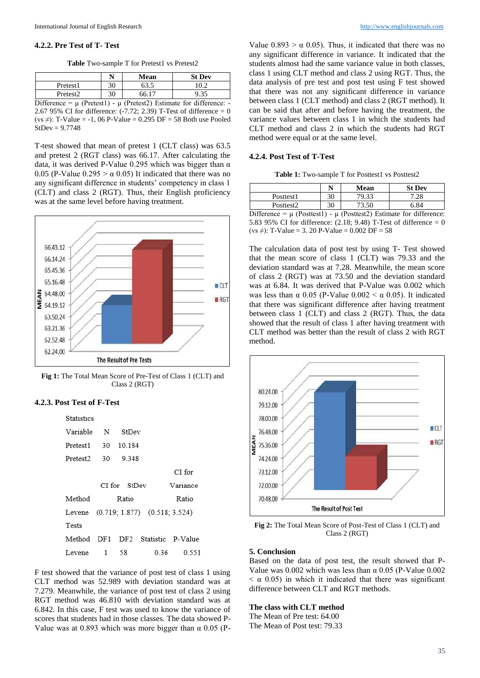# **4.2.2. Pre Test of T- Test**

Table Two-sample T for Pretest1 vs Pretest2

|                                                                             | N  | Mean  | <b>St Dev</b> |
|-----------------------------------------------------------------------------|----|-------|---------------|
| Pretest1                                                                    | 30 | 63.5  | 10.2          |
| Pretest <sub>2</sub>                                                        | 30 | 66.17 | 9.35          |
| Difference = $\mu$ (Pretest1) - $\mu$ (Pretest2) Estimate for difference: - |    |       |               |
| 2.67 95% CI for difference: $(-7.72; 2.39)$ T-Test of difference = 0        |    |       |               |
| $(vs \neq)$ : T-Value = -1, 06 P-Value = 0.295 DF = 58 Both use Pooled      |    |       |               |
| $StDev = 9.7748$                                                            |    |       |               |

T-test showed that mean of pretest 1 (CLT class) was 63.5 and pretest 2 (RGT class) was 66.17. After calculating the data, it was derived P-Value 0.295 which was bigger than  $\alpha$ 0.05 (P-Value  $0.295 > \alpha$  0.05) It indicated that there was no any significant difference in students' competency in class 1 (CLT) and class 2 (RGT). Thus, their English proficiency was at the same level before having treatment.



**Fig 1:** The Total Mean Score of Pre-Test of Class 1 (CLT) and Class 2 (RGT)

# **4.2.3. Post Test of F-Test**

| <b>Statistics</b>        |       |                 |                                      |                   |
|--------------------------|-------|-----------------|--------------------------------------|-------------------|
| Variable                 | N     | StDev           |                                      |                   |
| Pretest1                 |       | 30 10 184       |                                      |                   |
| Pretest2                 | 30    | 9.348           |                                      |                   |
|                          |       |                 |                                      | CI for            |
| Variance<br>CI for StDev |       |                 |                                      |                   |
| Method                   | Ratio |                 |                                      | Ratio             |
|                          |       |                 | Levene (0.719; 1.877) (0.518; 3.524) |                   |
| Tests                    |       |                 |                                      |                   |
| Method                   | DF1   | DF <sub>2</sub> |                                      | Statistic P-Value |
| Levene                   | 1     | 58              | 0 36                                 | 0.551             |

F test showed that the variance of post test of class 1 using CLT method was 52.989 with deviation standard was at 7.279. Meanwhile, the variance of post test of class 2 using RGT method was 46.810 with deviation standard was at 6.842. In this case, F test was used to know the variance of scores that students had in those classes. The data showed P-Value was at 0.893 which was more bigger than  $\alpha$  0.05 (P-

Value  $0.893 > \alpha$  0.05). Thus, it indicated that there was no any significant difference in variance. It indicated that the students almost had the same variance value in both classes, class 1 using CLT method and class 2 using RGT. Thus, the data analysis of pre test and post test using F test showed that there was not any significant difference in variance between class 1 (CLT method) and class 2 (RGT method). It can be said that after and before having the treatment, the variance values between class 1 in which the students had CLT method and class 2 in which the students had RGT method were equal or at the same level.

# **4.2.4. Post Test of T-Test**

Table 1: Two-sample T for Posttest1 vs Posttest2

|                                                                             | N  | Mean  | <b>St Dev</b> |
|-----------------------------------------------------------------------------|----|-------|---------------|
| Posttest1                                                                   | 30 | 79.33 | 7.28          |
| Posttest <sub>2</sub>                                                       | 30 | 73.50 | 6.84          |
| Difference = $\mu$ (Posttest1) - $\mu$ (Posttest2) Estimate for difference: |    |       |               |

5.83 95% CI for difference:  $(2.18; 9.48)$  T-Test of difference = 0 (vs  $\neq$ ): T-Value = 3. 20 P-Value = 0.002 DF = 58

The calculation data of post test by using T- Test showed that the mean score of class 1 (CLT) was 79.33 and the deviation standard was at 7.28. Meanwhile, the mean score of class 2 (RGT) was at 73.50 and the deviation standard was at 6.84. It was derived that P-Value was 0.002 which was less than  $\alpha$  0.05 (P-Value 0.002 <  $\alpha$  0.05). It indicated that there was significant difference after having treatment between class 1 (CLT) and class 2 (RGT). Thus, the data showed that the result of class 1 after having treatment with CLT method was better than the result of class 2 with RGT method.



**Fig 2:** The Total Mean Score of Post-Test of Class 1 (CLT) and Class 2 (RGT)

# **5. Conclusion**

Based on the data of post test, the result showed that P-Value was  $0.002$  which was less than  $\alpha$  0.05 (P-Value 0.002  $< \alpha$  0.05) in which it indicated that there was significant difference between CLT and RGT methods.

#### **The class with CLT method**

The Mean of Pre test: 64.00 The Mean of Post test: 79.33